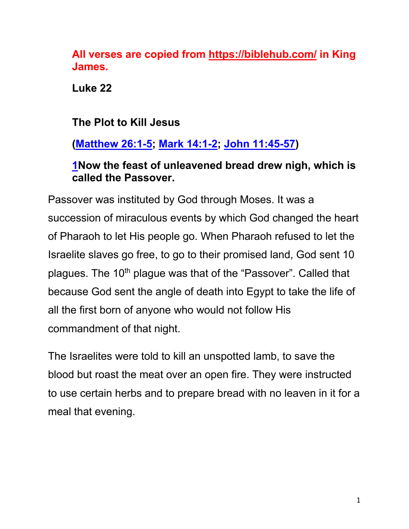**All verses are copied from https://biblehub.com/ in King James.** 

**Luke 22**

**The Plot to Kill Jesus**

**(Matthew 26:1-5; Mark 14:1-2; John 11:45-57)**

# **1Now the feast of unleavened bread drew nigh, which is called the Passover.**

Passover was instituted by God through Moses. It was a succession of miraculous events by which God changed the heart of Pharaoh to let His people go. When Pharaoh refused to let the Israelite slaves go free, to go to their promised land, God sent 10 plagues. The 10<sup>th</sup> plague was that of the "Passover". Called that because God sent the angle of death into Egypt to take the life of all the first born of anyone who would not follow His commandment of that night.

The Israelites were told to kill an unspotted lamb, to save the blood but roast the meat over an open fire. They were instructed to use certain herbs and to prepare bread with no leaven in it for a meal that evening.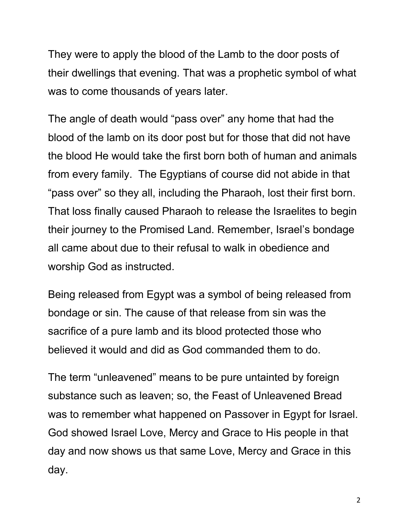They were to apply the blood of the Lamb to the door posts of their dwellings that evening. That was a prophetic symbol of what was to come thousands of years later.

The angle of death would "pass over" any home that had the blood of the lamb on its door post but for those that did not have the blood He would take the first born both of human and animals from every family. The Egyptians of course did not abide in that "pass over" so they all, including the Pharaoh, lost their first born. That loss finally caused Pharaoh to release the Israelites to begin their journey to the Promised Land. Remember, Israel's bondage all came about due to their refusal to walk in obedience and worship God as instructed.

Being released from Egypt was a symbol of being released from bondage or sin. The cause of that release from sin was the sacrifice of a pure lamb and its blood protected those who believed it would and did as God commanded them to do.

The term "unleavened" means to be pure untainted by foreign substance such as leaven; so, the Feast of Unleavened Bread was to remember what happened on Passover in Egypt for Israel. God showed Israel Love, Mercy and Grace to His people in that day and now shows us that same Love, Mercy and Grace in this day.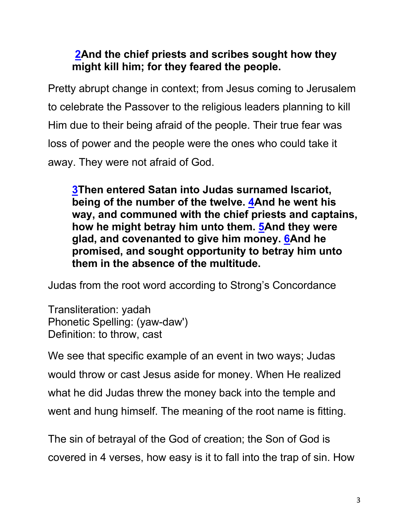# **2And the chief priests and scribes sought how they might kill him; for they feared the people.**

Pretty abrupt change in context; from Jesus coming to Jerusalem to celebrate the Passover to the religious leaders planning to kill Him due to their being afraid of the people. Their true fear was loss of power and the people were the ones who could take it away. They were not afraid of God.

**3Then entered Satan into Judas surnamed Iscariot, being of the number of the twelve. 4And he went his way, and communed with the chief priests and captains, how he might betray him unto them. 5And they were glad, and covenanted to give him money. 6And he promised, and sought opportunity to betray him unto them in the absence of the multitude.**

Judas from the root word according to Strong's Concordance

Transliteration: yadah Phonetic Spelling: (yaw-daw') Definition: to throw, cast

We see that specific example of an event in two ways; Judas would throw or cast Jesus aside for money. When He realized what he did Judas threw the money back into the temple and went and hung himself. The meaning of the root name is fitting.

The sin of betrayal of the God of creation; the Son of God is covered in 4 verses, how easy is it to fall into the trap of sin. How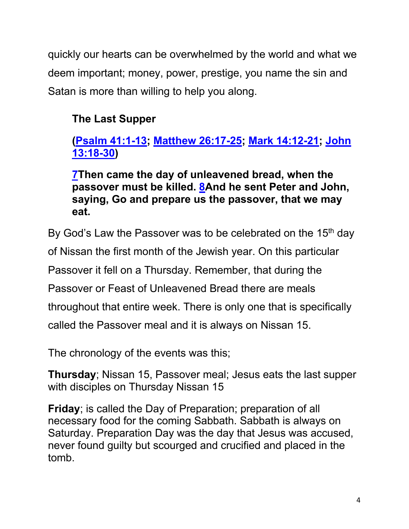quickly our hearts can be overwhelmed by the world and what we deem important; money, power, prestige, you name the sin and Satan is more than willing to help you along.

# **The Last Supper**

# **(Psalm 41:1-13; Matthew 26:17-25; Mark 14:12-21; John 13:18-30)**

**7Then came the day of unleavened bread, when the passover must be killed. 8And he sent Peter and John, saying, Go and prepare us the passover, that we may eat.**

By God's Law the Passover was to be celebrated on the 15<sup>th</sup> day of Nissan the first month of the Jewish year. On this particular Passover it fell on a Thursday. Remember, that during the Passover or Feast of Unleavened Bread there are meals throughout that entire week. There is only one that is specifically called the Passover meal and it is always on Nissan 15.

The chronology of the events was this;

**Thursday**; Nissan 15, Passover meal; Jesus eats the last supper with disciples on Thursday Nissan 15

**Friday**; is called the Day of Preparation; preparation of all necessary food for the coming Sabbath. Sabbath is always on Saturday. Preparation Day was the day that Jesus was accused, never found guilty but scourged and crucified and placed in the tomb.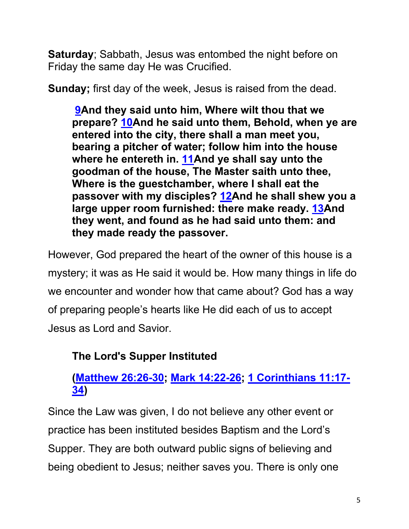**Saturday**; Sabbath, Jesus was entombed the night before on Friday the same day He was Crucified.

**Sunday;** first day of the week, Jesus is raised from the dead.

**9And they said unto him, Where wilt thou that we prepare? 10And he said unto them, Behold, when ye are entered into the city, there shall a man meet you, bearing a pitcher of water; follow him into the house where he entereth in. 11And ye shall say unto the goodman of the house, The Master saith unto thee, Where is the guestchamber, where I shall eat the passover with my disciples? 12And he shall shew you a large upper room furnished: there make ready. 13And they went, and found as he had said unto them: and they made ready the passover.**

However, God prepared the heart of the owner of this house is a mystery; it was as He said it would be. How many things in life do we encounter and wonder how that came about? God has a way of preparing people's hearts like He did each of us to accept Jesus as Lord and Savior.

# **The Lord's Supper Instituted**

# **(Matthew 26:26-30; Mark 14:22-26; 1 Corinthians 11:17- 34)**

Since the Law was given, I do not believe any other event or practice has been instituted besides Baptism and the Lord's Supper. They are both outward public signs of believing and being obedient to Jesus; neither saves you. There is only one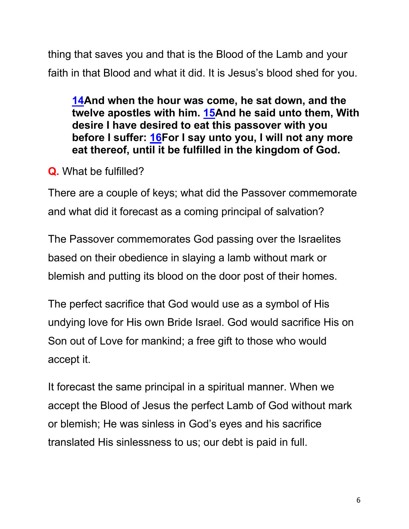thing that saves you and that is the Blood of the Lamb and your faith in that Blood and what it did. It is Jesus's blood shed for you.

**14And when the hour was come, he sat down, and the twelve apostles with him. 15And he said unto them, With desire I have desired to eat this passover with you before I suffer: 16For I say unto you, I will not any more eat thereof, until it be fulfilled in the kingdom of God.** 

**Q.** What be fulfilled?

There are a couple of keys; what did the Passover commemorate and what did it forecast as a coming principal of salvation?

The Passover commemorates God passing over the Israelites based on their obedience in slaying a lamb without mark or blemish and putting its blood on the door post of their homes.

The perfect sacrifice that God would use as a symbol of His undying love for His own Bride Israel. God would sacrifice His on Son out of Love for mankind; a free gift to those who would accept it.

It forecast the same principal in a spiritual manner. When we accept the Blood of Jesus the perfect Lamb of God without mark or blemish; He was sinless in God's eyes and his sacrifice translated His sinlessness to us; our debt is paid in full.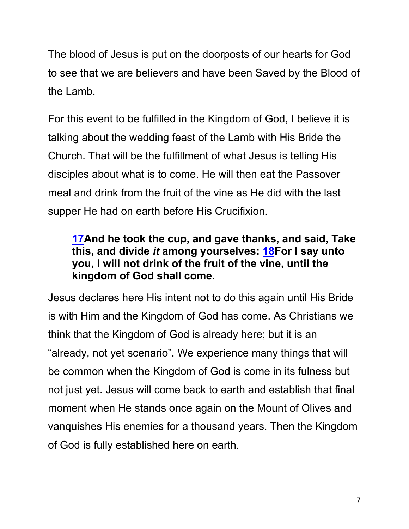The blood of Jesus is put on the doorposts of our hearts for God to see that we are believers and have been Saved by the Blood of the Lamb.

For this event to be fulfilled in the Kingdom of God, I believe it is talking about the wedding feast of the Lamb with His Bride the Church. That will be the fulfillment of what Jesus is telling His disciples about what is to come. He will then eat the Passover meal and drink from the fruit of the vine as He did with the last supper He had on earth before His Crucifixion.

# **17And he took the cup, and gave thanks, and said, Take this, and divide** *it* **among yourselves: 18For I say unto you, I will not drink of the fruit of the vine, until the kingdom of God shall come.**

Jesus declares here His intent not to do this again until His Bride is with Him and the Kingdom of God has come. As Christians we think that the Kingdom of God is already here; but it is an "already, not yet scenario". We experience many things that will be common when the Kingdom of God is come in its fulness but not just yet. Jesus will come back to earth and establish that final moment when He stands once again on the Mount of Olives and vanquishes His enemies for a thousand years. Then the Kingdom of God is fully established here on earth.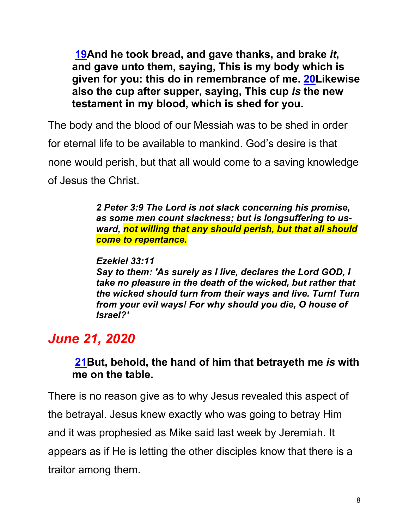**19And he took bread, and gave thanks, and brake** *it***, and gave unto them, saying, This is my body which is given for you: this do in remembrance of me. 20Likewise also the cup after supper, saying, This cup** *is* **the new testament in my blood, which is shed for you.**

The body and the blood of our Messiah was to be shed in order for eternal life to be available to mankind. God's desire is that none would perish, but that all would come to a saving knowledge of Jesus the Christ.

> *2 Peter 3:9 The Lord is not slack concerning his promise, as some men count slackness; but is longsuffering to usward, not willing that any should perish, but that all should come to repentance.*

#### *Ezekiel 33:11*

*Say to them: 'As surely as I live, declares the Lord GOD, I take no pleasure in the death of the wicked, but rather that the wicked should turn from their ways and live. Turn! Turn from your evil ways! For why should you die, O house of Israel?'*

# *June 21, 2020*

## **21But, behold, the hand of him that betrayeth me** *is* **with me on the table.**

There is no reason give as to why Jesus revealed this aspect of the betrayal. Jesus knew exactly who was going to betray Him and it was prophesied as Mike said last week by Jeremiah. It appears as if He is letting the other disciples know that there is a traitor among them.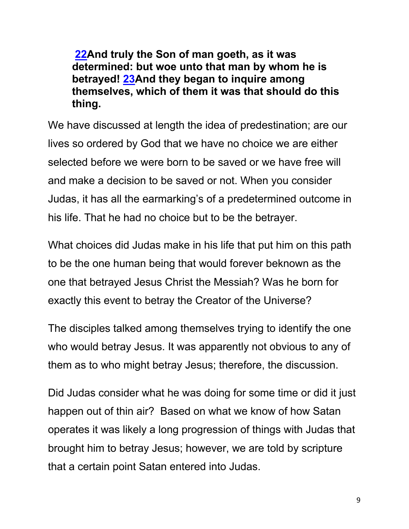**22And truly the Son of man goeth, as it was determined: but woe unto that man by whom he is betrayed! 23And they began to inquire among themselves, which of them it was that should do this thing.**

We have discussed at length the idea of predestination; are our lives so ordered by God that we have no choice we are either selected before we were born to be saved or we have free will and make a decision to be saved or not. When you consider Judas, it has all the earmarking's of a predetermined outcome in his life. That he had no choice but to be the betrayer.

What choices did Judas make in his life that put him on this path to be the one human being that would forever beknown as the one that betrayed Jesus Christ the Messiah? Was he born for exactly this event to betray the Creator of the Universe?

The disciples talked among themselves trying to identify the one who would betray Jesus. It was apparently not obvious to any of them as to who might betray Jesus; therefore, the discussion.

Did Judas consider what he was doing for some time or did it just happen out of thin air? Based on what we know of how Satan operates it was likely a long progression of things with Judas that brought him to betray Jesus; however, we are told by scripture that a certain point Satan entered into Judas.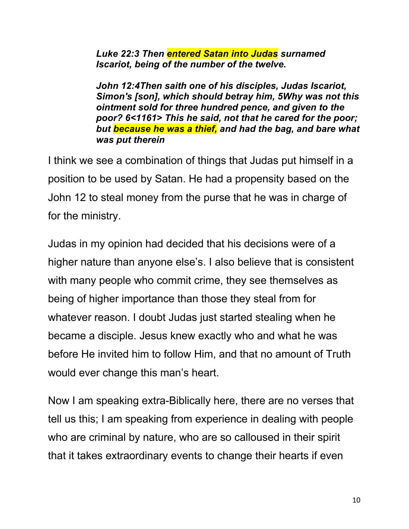*Luke 22:3 Then entered Satan into Judas surnamed Iscariot, being of the number of the twelve.*

*John 12:4Then saith one of his disciples, Judas Iscariot, Simon's [son], which should betray him, 5Why was not this ointment sold for three hundred pence, and given to the poor? 6<1161> This he said, not that he cared for the poor; but because he was a thief, and had the bag, and bare what was put therein*

I think we see a combination of things that Judas put himself in a position to be used by Satan. He had a propensity based on the John 12 to steal money from the purse that he was in charge of for the ministry.

Judas in my opinion had decided that his decisions were of a higher nature than anyone else's. I also believe that is consistent with many people who commit crime, they see themselves as being of higher importance than those they steal from for whatever reason. I doubt Judas just started stealing when he became a disciple. Jesus knew exactly who and what he was before He invited him to follow Him, and that no amount of Truth would ever change this man's heart.

Now I am speaking extra-Biblically here, there are no verses that tell us this; I am speaking from experience in dealing with people who are criminal by nature, who are so calloused in their spirit that it takes extraordinary events to change their hearts if even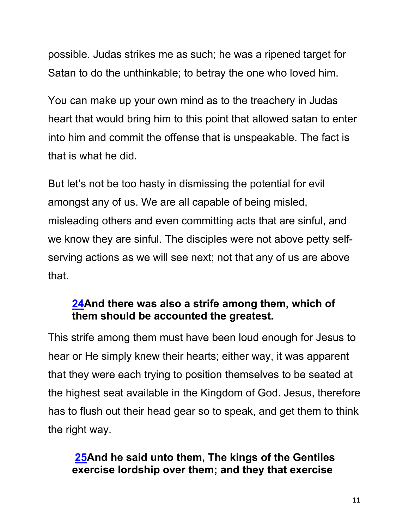possible. Judas strikes me as such; he was a ripened target for Satan to do the unthinkable; to betray the one who loved him.

You can make up your own mind as to the treachery in Judas heart that would bring him to this point that allowed satan to enter into him and commit the offense that is unspeakable. The fact is that is what he did.

But let's not be too hasty in dismissing the potential for evil amongst any of us. We are all capable of being misled, misleading others and even committing acts that are sinful, and we know they are sinful. The disciples were not above petty selfserving actions as we will see next; not that any of us are above that.

## **24And there was also a strife among them, which of them should be accounted the greatest.**

This strife among them must have been loud enough for Jesus to hear or He simply knew their hearts; either way, it was apparent that they were each trying to position themselves to be seated at the highest seat available in the Kingdom of God. Jesus, therefore has to flush out their head gear so to speak, and get them to think the right way.

## **25And he said unto them, The kings of the Gentiles exercise lordship over them; and they that exercise**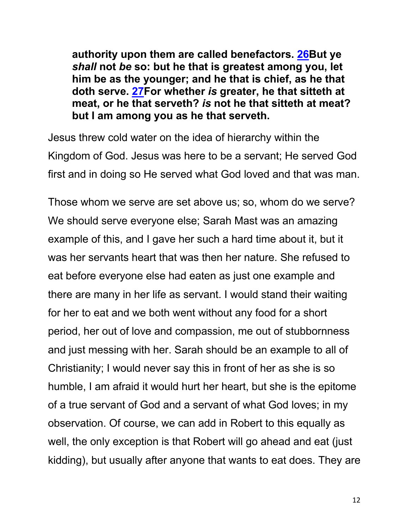**authority upon them are called benefactors. 26But ye**  *shall* **not** *be* **so: but he that is greatest among you, let him be as the younger; and he that is chief, as he that doth serve. 27For whether** *is* **greater, he that sitteth at meat, or he that serveth?** *is* **not he that sitteth at meat? but I am among you as he that serveth.**

Jesus threw cold water on the idea of hierarchy within the Kingdom of God. Jesus was here to be a servant; He served God first and in doing so He served what God loved and that was man.

Those whom we serve are set above us; so, whom do we serve? We should serve everyone else; Sarah Mast was an amazing example of this, and I gave her such a hard time about it, but it was her servants heart that was then her nature. She refused to eat before everyone else had eaten as just one example and there are many in her life as servant. I would stand their waiting for her to eat and we both went without any food for a short period, her out of love and compassion, me out of stubbornness and just messing with her. Sarah should be an example to all of Christianity; I would never say this in front of her as she is so humble, I am afraid it would hurt her heart, but she is the epitome of a true servant of God and a servant of what God loves; in my observation. Of course, we can add in Robert to this equally as well, the only exception is that Robert will go ahead and eat (just kidding), but usually after anyone that wants to eat does. They are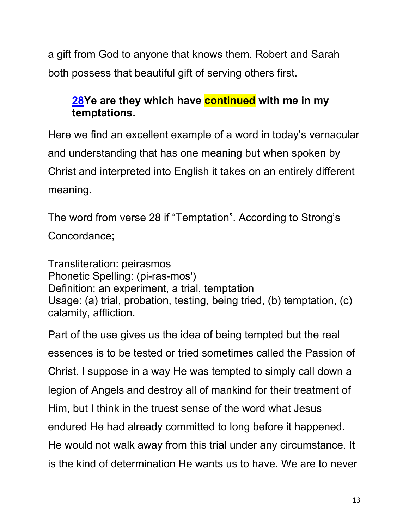a gift from God to anyone that knows them. Robert and Sarah both possess that beautiful gift of serving others first.

# **28Ye are they which have continued with me in my temptations.**

Here we find an excellent example of a word in today's vernacular and understanding that has one meaning but when spoken by Christ and interpreted into English it takes on an entirely different meaning.

The word from verse 28 if "Temptation". According to Strong's Concordance;

Transliteration: peirasmos Phonetic Spelling: (pi-ras-mos') Definition: an experiment, a trial, temptation Usage: (a) trial, probation, testing, being tried, (b) temptation, (c) calamity, affliction.

Part of the use gives us the idea of being tempted but the real essences is to be tested or tried sometimes called the Passion of Christ. I suppose in a way He was tempted to simply call down a legion of Angels and destroy all of mankind for their treatment of Him, but I think in the truest sense of the word what Jesus endured He had already committed to long before it happened. He would not walk away from this trial under any circumstance. It is the kind of determination He wants us to have. We are to never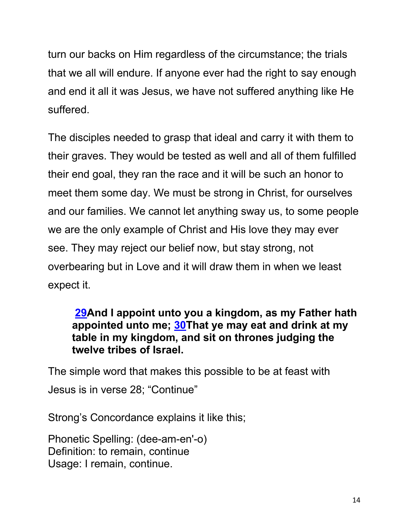turn our backs on Him regardless of the circumstance; the trials that we all will endure. If anyone ever had the right to say enough and end it all it was Jesus, we have not suffered anything like He suffered.

The disciples needed to grasp that ideal and carry it with them to their graves. They would be tested as well and all of them fulfilled their end goal, they ran the race and it will be such an honor to meet them some day. We must be strong in Christ, for ourselves and our families. We cannot let anything sway us, to some people we are the only example of Christ and His love they may ever see. They may reject our belief now, but stay strong, not overbearing but in Love and it will draw them in when we least expect it.

### **29And I appoint unto you a kingdom, as my Father hath appointed unto me; 30That ye may eat and drink at my table in my kingdom, and sit on thrones judging the twelve tribes of Israel.**

The simple word that makes this possible to be at feast with Jesus is in verse 28; "Continue"

Strong's Concordance explains it like this;

Phonetic Spelling: (dee-am-en'-o) Definition: to remain, continue Usage: I remain, continue.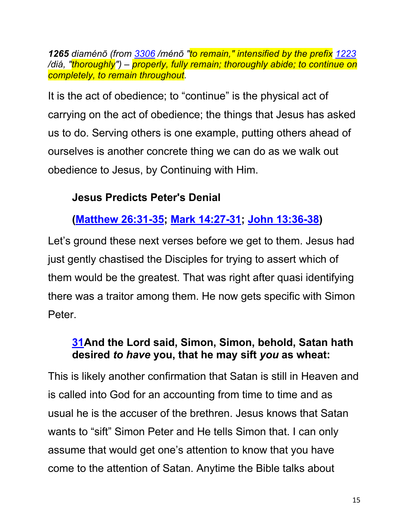*1265 diaménō (from 3306 /ménō "to remain," intensified by the prefix 1223 /diá, "thoroughly") – properly, fully remain; thoroughly abide; to continue on completely, to remain throughout.*

It is the act of obedience; to "continue" is the physical act of carrying on the act of obedience; the things that Jesus has asked us to do. Serving others is one example, putting others ahead of ourselves is another concrete thing we can do as we walk out obedience to Jesus, by Continuing with Him.

# **Jesus Predicts Peter's Denial**

# **(Matthew 26:31-35; Mark 14:27-31; John 13:36-38)**

Let's ground these next verses before we get to them. Jesus had just gently chastised the Disciples for trying to assert which of them would be the greatest. That was right after quasi identifying there was a traitor among them. He now gets specific with Simon Peter.

## **31And the Lord said, Simon, Simon, behold, Satan hath desired** *to have* **you, that he may sift** *you* **as wheat:**

This is likely another confirmation that Satan is still in Heaven and is called into God for an accounting from time to time and as usual he is the accuser of the brethren. Jesus knows that Satan wants to "sift" Simon Peter and He tells Simon that. I can only assume that would get one's attention to know that you have come to the attention of Satan. Anytime the Bible talks about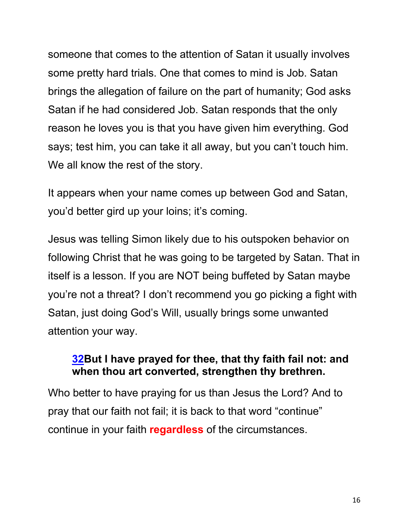someone that comes to the attention of Satan it usually involves some pretty hard trials. One that comes to mind is Job. Satan brings the allegation of failure on the part of humanity; God asks Satan if he had considered Job. Satan responds that the only reason he loves you is that you have given him everything. God says; test him, you can take it all away, but you can't touch him. We all know the rest of the story.

It appears when your name comes up between God and Satan, you'd better gird up your loins; it's coming.

Jesus was telling Simon likely due to his outspoken behavior on following Christ that he was going to be targeted by Satan. That in itself is a lesson. If you are NOT being buffeted by Satan maybe you're not a threat? I don't recommend you go picking a fight with Satan, just doing God's Will, usually brings some unwanted attention your way.

## **32But I have prayed for thee, that thy faith fail not: and when thou art converted, strengthen thy brethren.**

Who better to have praying for us than Jesus the Lord? And to pray that our faith not fail; it is back to that word "continue" continue in your faith **regardless** of the circumstances.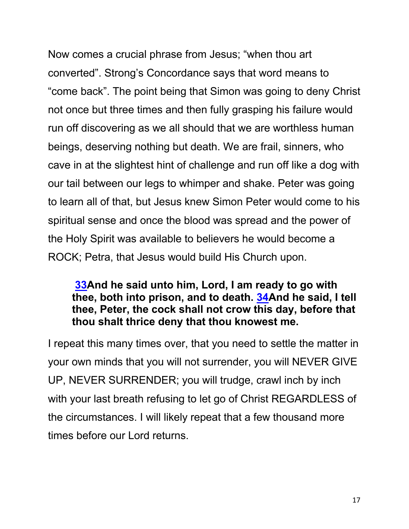Now comes a crucial phrase from Jesus; "when thou art converted". Strong's Concordance says that word means to "come back". The point being that Simon was going to deny Christ not once but three times and then fully grasping his failure would run off discovering as we all should that we are worthless human beings, deserving nothing but death. We are frail, sinners, who cave in at the slightest hint of challenge and run off like a dog with our tail between our legs to whimper and shake. Peter was going to learn all of that, but Jesus knew Simon Peter would come to his spiritual sense and once the blood was spread and the power of the Holy Spirit was available to believers he would become a ROCK; Petra, that Jesus would build His Church upon.

### **33And he said unto him, Lord, I am ready to go with thee, both into prison, and to death. 34And he said, I tell thee, Peter, the cock shall not crow this day, before that thou shalt thrice deny that thou knowest me.**

I repeat this many times over, that you need to settle the matter in your own minds that you will not surrender, you will NEVER GIVE UP, NEVER SURRENDER; you will trudge, crawl inch by inch with your last breath refusing to let go of Christ REGARDLESS of the circumstances. I will likely repeat that a few thousand more times before our Lord returns.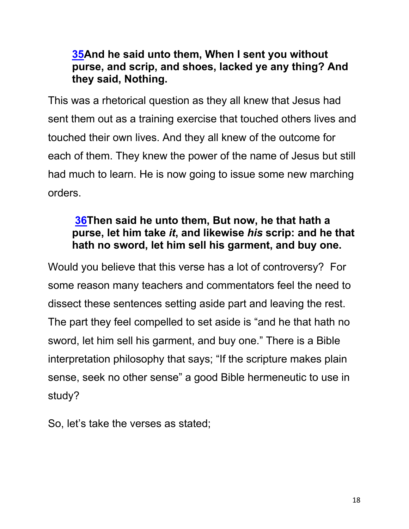# **35And he said unto them, When I sent you without purse, and scrip, and shoes, lacked ye any thing? And they said, Nothing.**

This was a rhetorical question as they all knew that Jesus had sent them out as a training exercise that touched others lives and touched their own lives. And they all knew of the outcome for each of them. They knew the power of the name of Jesus but still had much to learn. He is now going to issue some new marching orders.

# **36Then said he unto them, But now, he that hath a purse, let him take** *it***, and likewise** *his* **scrip: and he that hath no sword, let him sell his garment, and buy one.**

Would you believe that this verse has a lot of controversy? For some reason many teachers and commentators feel the need to dissect these sentences setting aside part and leaving the rest. The part they feel compelled to set aside is "and he that hath no sword, let him sell his garment, and buy one." There is a Bible interpretation philosophy that says; "If the scripture makes plain sense, seek no other sense" a good Bible hermeneutic to use in study?

So, let's take the verses as stated;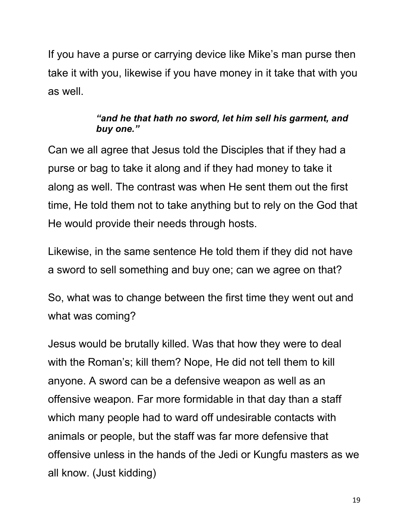If you have a purse or carrying device like Mike's man purse then take it with you, likewise if you have money in it take that with you as well.

#### *"and he that hath no sword, let him sell his garment, and buy one."*

Can we all agree that Jesus told the Disciples that if they had a purse or bag to take it along and if they had money to take it along as well. The contrast was when He sent them out the first time, He told them not to take anything but to rely on the God that He would provide their needs through hosts.

Likewise, in the same sentence He told them if they did not have a sword to sell something and buy one; can we agree on that?

So, what was to change between the first time they went out and what was coming?

Jesus would be brutally killed. Was that how they were to deal with the Roman's; kill them? Nope, He did not tell them to kill anyone. A sword can be a defensive weapon as well as an offensive weapon. Far more formidable in that day than a staff which many people had to ward off undesirable contacts with animals or people, but the staff was far more defensive that offensive unless in the hands of the Jedi or Kungfu masters as we all know. (Just kidding)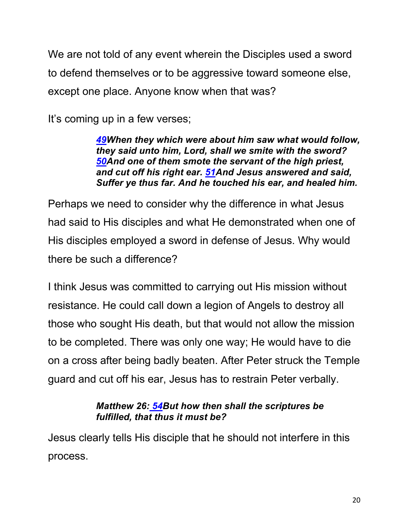We are not told of any event wherein the Disciples used a sword to defend themselves or to be aggressive toward someone else, except one place. Anyone know when that was?

It's coming up in a few verses;

*49When they which were about him saw what would follow, they said unto him, Lord, shall we smite with the sword? 50And one of them smote the servant of the high priest, and cut off his right ear. 51And Jesus answered and said, Suffer ye thus far. And he touched his ear, and healed him.*

Perhaps we need to consider why the difference in what Jesus had said to His disciples and what He demonstrated when one of His disciples employed a sword in defense of Jesus. Why would there be such a difference?

I think Jesus was committed to carrying out His mission without resistance. He could call down a legion of Angels to destroy all those who sought His death, but that would not allow the mission to be completed. There was only one way; He would have to die on a cross after being badly beaten. After Peter struck the Temple guard and cut off his ear, Jesus has to restrain Peter verbally.

#### *Matthew 26: 54But how then shall the scriptures be fulfilled, that thus it must be?*

Jesus clearly tells His disciple that he should not interfere in this process.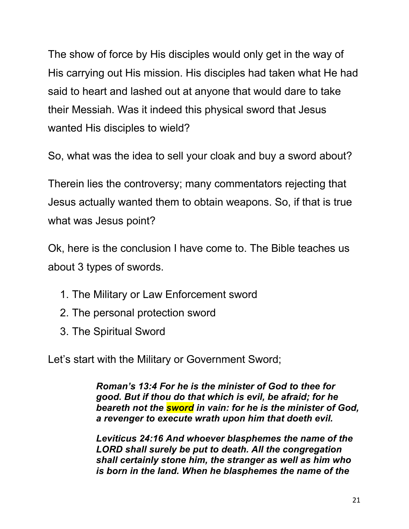The show of force by His disciples would only get in the way of His carrying out His mission. His disciples had taken what He had said to heart and lashed out at anyone that would dare to take their Messiah. Was it indeed this physical sword that Jesus wanted His disciples to wield?

So, what was the idea to sell your cloak and buy a sword about?

Therein lies the controversy; many commentators rejecting that Jesus actually wanted them to obtain weapons. So, if that is true what was Jesus point?

Ok, here is the conclusion I have come to. The Bible teaches us about 3 types of swords.

- 1. The Military or Law Enforcement sword
- 2. The personal protection sword
- 3. The Spiritual Sword

Let's start with the Military or Government Sword;

*Roman's 13:4 For he is the minister of God to thee for good. But if thou do that which is evil, be afraid; for he beareth not the sword in vain: for he is the minister of God, a revenger to execute wrath upon him that doeth evil.*

*Leviticus 24:16 And whoever blasphemes the name of the LORD shall surely be put to death. All the congregation shall certainly stone him, the stranger as well as him who is born in the land. When he blasphemes the name of the*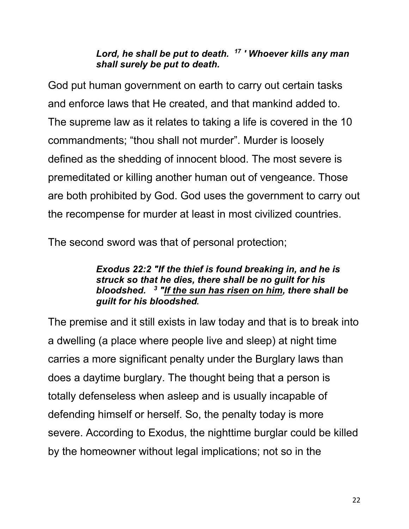#### *Lord, he shall be put to death. 17 ' Whoever kills any man shall surely be put to death.*

God put human government on earth to carry out certain tasks and enforce laws that He created, and that mankind added to. The supreme law as it relates to taking a life is covered in the 10 commandments; "thou shall not murder". Murder is loosely defined as the shedding of innocent blood. The most severe is premeditated or killing another human out of vengeance. Those are both prohibited by God. God uses the government to carry out the recompense for murder at least in most civilized countries.

The second sword was that of personal protection;

#### *Exodus 22:2 "If the thief is found breaking in, and he is struck so that he dies, there shall be no guilt for his bloodshed. 3 "If the sun has risen on him, there shall be guilt for his bloodshed***.**

The premise and it still exists in law today and that is to break into a dwelling (a place where people live and sleep) at night time carries a more significant penalty under the Burglary laws than does a daytime burglary. The thought being that a person is totally defenseless when asleep and is usually incapable of defending himself or herself. So, the penalty today is more severe. According to Exodus, the nighttime burglar could be killed by the homeowner without legal implications; not so in the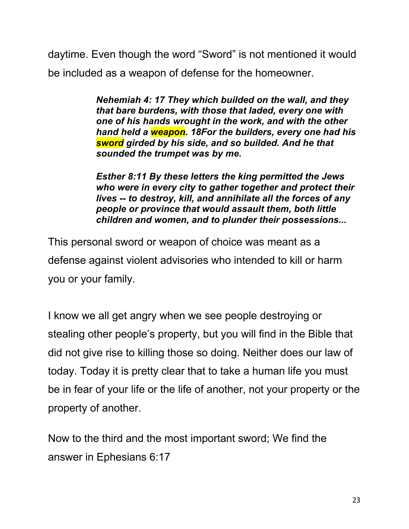daytime. Even though the word "Sword" is not mentioned it would be included as a weapon of defense for the homeowner.

> *Nehemiah 4: 17 They which builded on the wall, and they that bare burdens, with those that laded, every one with one of his hands wrought in the work, and with the other hand held a weapon. 18For the builders, every one had his sword girded by his side, and so builded. And he that sounded the trumpet was by me.*

> *Esther 8:11 By these letters the king permitted the Jews who were in every city to gather together and protect their lives -- to destroy, kill, and annihilate all the forces of any people or province that would assault them, both little children and women, and to plunder their possessions...*

This personal sword or weapon of choice was meant as a defense against violent advisories who intended to kill or harm you or your family.

I know we all get angry when we see people destroying or stealing other people's property, but you will find in the Bible that did not give rise to killing those so doing. Neither does our law of today. Today it is pretty clear that to take a human life you must be in fear of your life or the life of another, not your property or the property of another.

Now to the third and the most important sword; We find the answer in Ephesians 6:17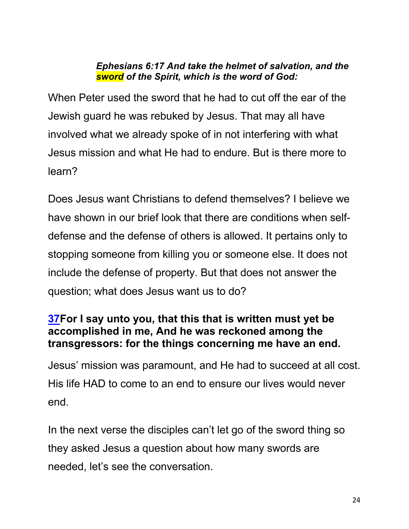#### *Ephesians 6:17 And take the helmet of salvation, and the sword of the Spirit, which is the word of God:*

When Peter used the sword that he had to cut off the ear of the Jewish guard he was rebuked by Jesus. That may all have involved what we already spoke of in not interfering with what Jesus mission and what He had to endure. But is there more to learn?

Does Jesus want Christians to defend themselves? I believe we have shown in our brief look that there are conditions when selfdefense and the defense of others is allowed. It pertains only to stopping someone from killing you or someone else. It does not include the defense of property. But that does not answer the question; what does Jesus want us to do?

## **37For I say unto you, that this that is written must yet be accomplished in me, And he was reckoned among the transgressors: for the things concerning me have an end.**

Jesus' mission was paramount, and He had to succeed at all cost. His life HAD to come to an end to ensure our lives would never end.

In the next verse the disciples can't let go of the sword thing so they asked Jesus a question about how many swords are needed, let's see the conversation.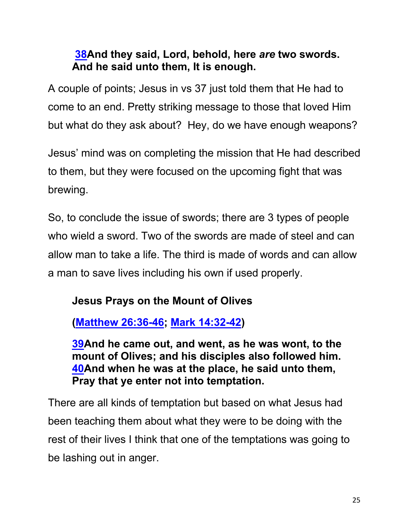# **38And they said, Lord, behold, here** *are* **two swords. And he said unto them, It is enough.**

A couple of points; Jesus in vs 37 just told them that He had to come to an end. Pretty striking message to those that loved Him but what do they ask about? Hey, do we have enough weapons?

Jesus' mind was on completing the mission that He had described to them, but they were focused on the upcoming fight that was brewing.

So, to conclude the issue of swords; there are 3 types of people who wield a sword. Two of the swords are made of steel and can allow man to take a life. The third is made of words and can allow a man to save lives including his own if used properly.

# **Jesus Prays on the Mount of Olives**

**(Matthew 26:36-46; Mark 14:32-42)**

**39And he came out, and went, as he was wont, to the mount of Olives; and his disciples also followed him. 40And when he was at the place, he said unto them, Pray that ye enter not into temptation.**

There are all kinds of temptation but based on what Jesus had been teaching them about what they were to be doing with the rest of their lives I think that one of the temptations was going to be lashing out in anger.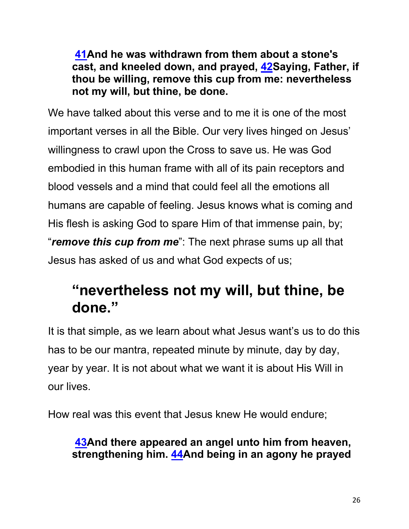**41And he was withdrawn from them about a stone's cast, and kneeled down, and prayed, 42Saying, Father, if thou be willing, remove this cup from me: nevertheless not my will, but thine, be done.**

We have talked about this verse and to me it is one of the most important verses in all the Bible. Our very lives hinged on Jesus' willingness to crawl upon the Cross to save us. He was God embodied in this human frame with all of its pain receptors and blood vessels and a mind that could feel all the emotions all humans are capable of feeling. Jesus knows what is coming and His flesh is asking God to spare Him of that immense pain, by; "*remove this cup from me*": The next phrase sums up all that Jesus has asked of us and what God expects of us;

# **"nevertheless not my will, but thine, be done."**

It is that simple, as we learn about what Jesus want's us to do this has to be our mantra, repeated minute by minute, day by day, year by year. It is not about what we want it is about His Will in our lives.

How real was this event that Jesus knew He would endure;

# **43And there appeared an angel unto him from heaven, strengthening him. 44And being in an agony he prayed**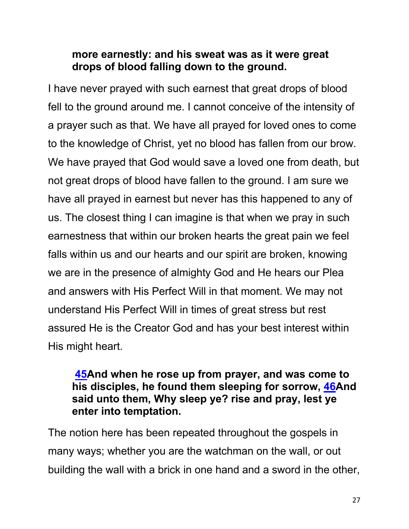### **more earnestly: and his sweat was as it were great drops of blood falling down to the ground.**

I have never prayed with such earnest that great drops of blood fell to the ground around me. I cannot conceive of the intensity of a prayer such as that. We have all prayed for loved ones to come to the knowledge of Christ, yet no blood has fallen from our brow. We have prayed that God would save a loved one from death, but not great drops of blood have fallen to the ground. I am sure we have all prayed in earnest but never has this happened to any of us. The closest thing I can imagine is that when we pray in such earnestness that within our broken hearts the great pain we feel falls within us and our hearts and our spirit are broken, knowing we are in the presence of almighty God and He hears our Plea and answers with His Perfect Will in that moment. We may not understand His Perfect Will in times of great stress but rest assured He is the Creator God and has your best interest within His might heart.

### **45And when he rose up from prayer, and was come to his disciples, he found them sleeping for sorrow, 46And said unto them, Why sleep ye? rise and pray, lest ye enter into temptation.**

The notion here has been repeated throughout the gospels in many ways; whether you are the watchman on the wall, or out building the wall with a brick in one hand and a sword in the other,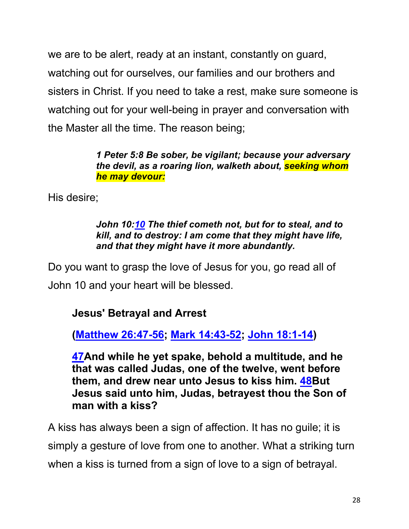we are to be alert, ready at an instant, constantly on guard, watching out for ourselves, our families and our brothers and sisters in Christ. If you need to take a rest, make sure someone is watching out for your well-being in prayer and conversation with the Master all the time. The reason being;

> *1 Peter 5:8 Be sober, be vigilant; because your adversary the devil, as a roaring lion, walketh about, seeking whom he may devour:*

His desire;

#### *John 10:10 The thief cometh not, but for to steal, and to kill, and to destroy: I am come that they might have life, and that they might have it more abundantly.*

Do you want to grasp the love of Jesus for you, go read all of John 10 and your heart will be blessed.

# **Jesus' Betrayal and Arrest**

**(Matthew 26:47-56; Mark 14:43-52; John 18:1-14)**

**47And while he yet spake, behold a multitude, and he that was called Judas, one of the twelve, went before them, and drew near unto Jesus to kiss him. 48But Jesus said unto him, Judas, betrayest thou the Son of man with a kiss?**

A kiss has always been a sign of affection. It has no guile; it is simply a gesture of love from one to another. What a striking turn when a kiss is turned from a sign of love to a sign of betrayal.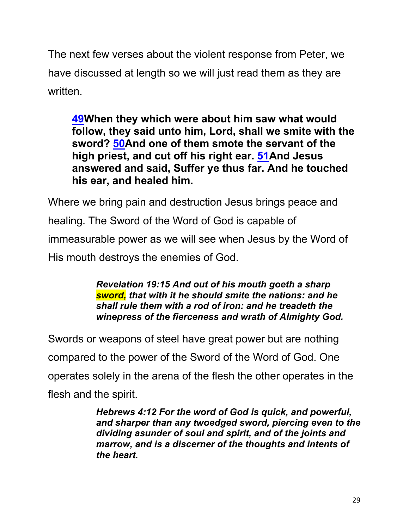The next few verses about the violent response from Peter, we have discussed at length so we will just read them as they are written.

**49When they which were about him saw what would follow, they said unto him, Lord, shall we smite with the sword? 50And one of them smote the servant of the high priest, and cut off his right ear. 51And Jesus answered and said, Suffer ye thus far. And he touched his ear, and healed him.**

Where we bring pain and destruction Jesus brings peace and healing. The Sword of the Word of God is capable of immeasurable power as we will see when Jesus by the Word of His mouth destroys the enemies of God.

> *Revelation 19:15 And out of his mouth goeth a sharp sword, that with it he should smite the nations: and he shall rule them with a rod of iron: and he treadeth the winepress of the fierceness and wrath of Almighty God.*

Swords or weapons of steel have great power but are nothing compared to the power of the Sword of the Word of God. One operates solely in the arena of the flesh the other operates in the flesh and the spirit.

*Hebrews 4:12 For the word of God is quick, and powerful, and sharper than any twoedged sword, piercing even to the dividing asunder of soul and spirit, and of the joints and marrow, and is a discerner of the thoughts and intents of the heart.*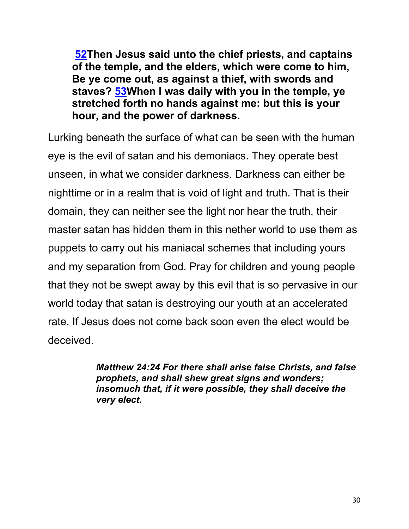**52Then Jesus said unto the chief priests, and captains of the temple, and the elders, which were come to him, Be ye come out, as against a thief, with swords and staves? 53When I was daily with you in the temple, ye stretched forth no hands against me: but this is your hour, and the power of darkness.**

Lurking beneath the surface of what can be seen with the human eye is the evil of satan and his demoniacs. They operate best unseen, in what we consider darkness. Darkness can either be nighttime or in a realm that is void of light and truth. That is their domain, they can neither see the light nor hear the truth, their master satan has hidden them in this nether world to use them as puppets to carry out his maniacal schemes that including yours and my separation from God. Pray for children and young people that they not be swept away by this evil that is so pervasive in our world today that satan is destroying our youth at an accelerated rate. If Jesus does not come back soon even the elect would be deceived.

> *Matthew 24:24 For there shall arise false Christs, and false prophets, and shall shew great signs and wonders; insomuch that, if it were possible, they shall deceive the very elect.*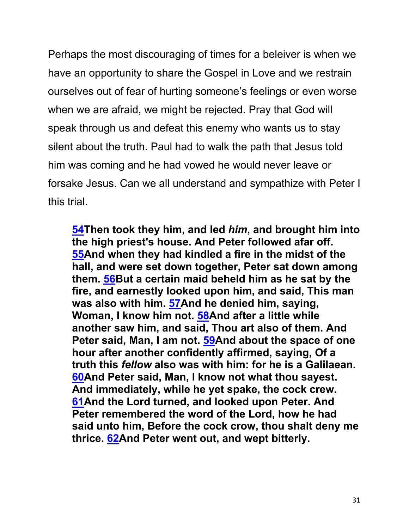Perhaps the most discouraging of times for a beleiver is when we have an opportunity to share the Gospel in Love and we restrain ourselves out of fear of hurting someone's feelings or even worse when we are afraid, we might be rejected. Pray that God will speak through us and defeat this enemy who wants us to stay silent about the truth. Paul had to walk the path that Jesus told him was coming and he had vowed he would never leave or forsake Jesus. Can we all understand and sympathize with Peter I this trial.

**54Then took they him, and led** *him***, and brought him into the high priest's house. And Peter followed afar off. 55And when they had kindled a fire in the midst of the hall, and were set down together, Peter sat down among them. 56But a certain maid beheld him as he sat by the fire, and earnestly looked upon him, and said, This man was also with him. 57And he denied him, saying, Woman, I know him not. 58And after a little while another saw him, and said, Thou art also of them. And Peter said, Man, I am not. 59And about the space of one hour after another confidently affirmed, saying, Of a truth this** *fellow* **also was with him: for he is a Galilaean. 60And Peter said, Man, I know not what thou sayest. And immediately, while he yet spake, the cock crew. 61And the Lord turned, and looked upon Peter. And Peter remembered the word of the Lord, how he had said unto him, Before the cock crow, thou shalt deny me thrice. 62And Peter went out, and wept bitterly.**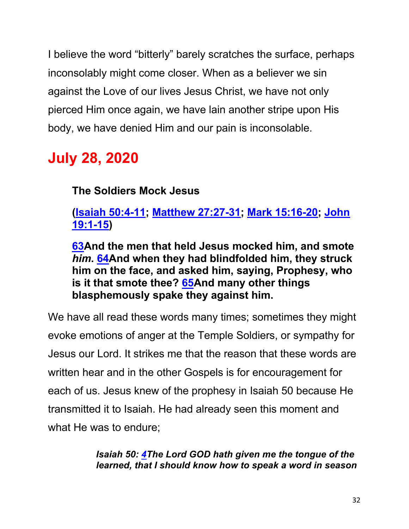I believe the word "bitterly" barely scratches the surface, perhaps inconsolably might come closer. When as a believer we sin against the Love of our lives Jesus Christ, we have not only pierced Him once again, we have lain another stripe upon His body, we have denied Him and our pain is inconsolable.

# **July 28, 2020**

**The Soldiers Mock Jesus**

**(Isaiah 50:4-11; Matthew 27:27-31; Mark 15:16-20; John 19:1-15)**

**63And the men that held Jesus mocked him, and smote**  *him***. 64And when they had blindfolded him, they struck him on the face, and asked him, saying, Prophesy, who is it that smote thee? 65And many other things blasphemously spake they against him.**

We have all read these words many times; sometimes they might evoke emotions of anger at the Temple Soldiers, or sympathy for Jesus our Lord. It strikes me that the reason that these words are written hear and in the other Gospels is for encouragement for each of us. Jesus knew of the prophesy in Isaiah 50 because He transmitted it to Isaiah. He had already seen this moment and what He was to endure;

> *Isaiah 50: 4The Lord GOD hath given me the tongue of the learned, that I should know how to speak a word in season*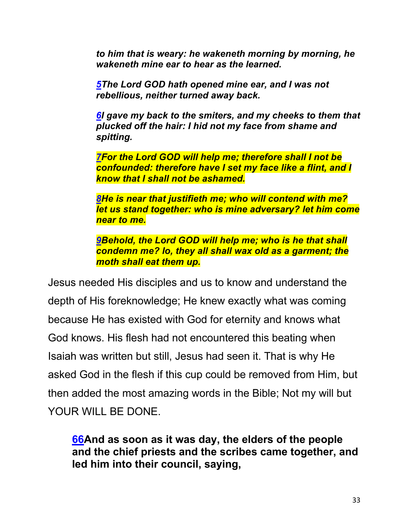*to him that is weary: he wakeneth morning by morning, he wakeneth mine ear to hear as the learned.*

*5The Lord GOD hath opened mine ear, and I was not rebellious, neither turned away back.*

*6I gave my back to the smiters, and my cheeks to them that plucked off the hair: I hid not my face from shame and spitting.*

*7For the Lord GOD will help me; therefore shall I not be confounded: therefore have I set my face like a flint, and I know that I shall not be ashamed.*

*8He is near that justifieth me; who will contend with me? let us stand together: who is mine adversary? let him come near to me.*

*9Behold, the Lord GOD will help me; who is he that shall condemn me? lo, they all shall wax old as a garment; the moth shall eat them up.*

Jesus needed His disciples and us to know and understand the depth of His foreknowledge; He knew exactly what was coming because He has existed with God for eternity and knows what God knows. His flesh had not encountered this beating when Isaiah was written but still, Jesus had seen it. That is why He asked God in the flesh if this cup could be removed from Him, but then added the most amazing words in the Bible; Not my will but YOUR WILL BE DONE.

**66And as soon as it was day, the elders of the people and the chief priests and the scribes came together, and led him into their council, saying,**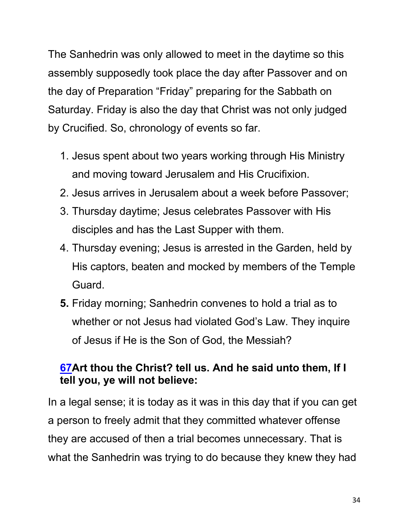The Sanhedrin was only allowed to meet in the daytime so this assembly supposedly took place the day after Passover and on the day of Preparation "Friday" preparing for the Sabbath on Saturday. Friday is also the day that Christ was not only judged by Crucified. So, chronology of events so far.

- 1. Jesus spent about two years working through His Ministry and moving toward Jerusalem and His Crucifixion.
- 2. Jesus arrives in Jerusalem about a week before Passover;
- 3. Thursday daytime; Jesus celebrates Passover with His disciples and has the Last Supper with them.
- 4. Thursday evening; Jesus is arrested in the Garden, held by His captors, beaten and mocked by members of the Temple Guard.
- **5.** Friday morning; Sanhedrin convenes to hold a trial as to whether or not Jesus had violated God's Law. They inquire of Jesus if He is the Son of God, the Messiah?

# **67Art thou the Christ? tell us. And he said unto them, If I tell you, ye will not believe:**

In a legal sense; it is today as it was in this day that if you can get a person to freely admit that they committed whatever offense they are accused of then a trial becomes unnecessary. That is what the Sanhedrin was trying to do because they knew they had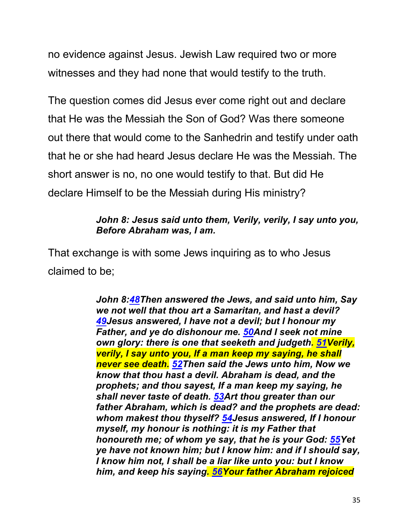no evidence against Jesus. Jewish Law required two or more witnesses and they had none that would testify to the truth.

The question comes did Jesus ever come right out and declare that He was the Messiah the Son of God? Was there someone out there that would come to the Sanhedrin and testify under oath that he or she had heard Jesus declare He was the Messiah. The short answer is no, no one would testify to that. But did He declare Himself to be the Messiah during His ministry?

#### *John 8: Jesus said unto them, Verily, verily, I say unto you, Before Abraham was, I am.*

That exchange is with some Jews inquiring as to who Jesus claimed to be;

> *John 8:48Then answered the Jews, and said unto him, Say we not well that thou art a Samaritan, and hast a devil? 49Jesus answered, I have not a devil; but I honour my Father, and ye do dishonour me. 50And I seek not mine own glory: there is one that seeketh and judgeth. 51Verily, verily, I say unto you, If a man keep my saying, he shall never see death. 52Then said the Jews unto him, Now we know that thou hast a devil. Abraham is dead, and the prophets; and thou sayest, If a man keep my saying, he shall never taste of death. 53Art thou greater than our father Abraham, which is dead? and the prophets are dead: whom makest thou thyself? 54Jesus answered, If I honour myself, my honour is nothing: it is my Father that honoureth me; of whom ye say, that he is your God: 55Yet ye have not known him; but I know him: and if I should say, I know him not, I shall be a liar like unto you: but I know him, and keep his saying. 56Your father Abraham rejoiced*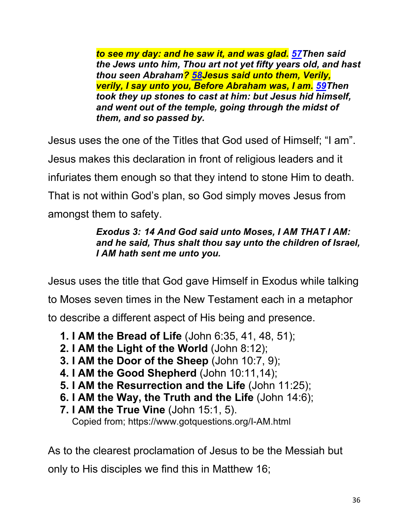*to see my day: and he saw it, and was glad. 57Then said the Jews unto him, Thou art not yet fifty years old, and hast thou seen Abraham? 58Jesus said unto them, Verily, verily, I say unto you, Before Abraham was, I am. 59Then took they up stones to cast at him: but Jesus hid himself, and went out of the temple, going through the midst of them, and so passed by.*

Jesus uses the one of the Titles that God used of Himself; "I am". Jesus makes this declaration in front of religious leaders and it infuriates them enough so that they intend to stone Him to death. That is not within God's plan, so God simply moves Jesus from amongst them to safety.

#### *Exodus 3: 14 And God said unto Moses, I AM THAT I AM: and he said, Thus shalt thou say unto the children of Israel, I AM hath sent me unto you.*

Jesus uses the title that God gave Himself in Exodus while talking to Moses seven times in the New Testament each in a metaphor to describe a different aspect of His being and presence.

- **1. I AM the Bread of Life** (John 6:35, 41, 48, 51);
- **2. I AM the Light of the World** (John 8:12);
- **3. I AM the Door of the Sheep** (John 10:7, 9);
- **4. I AM the Good Shepherd** (John 10:11,14);
- **5. I AM the Resurrection and the Life** (John 11:25);
- **6. I AM the Way, the Truth and the Life** (John 14:6);
- **7. I AM the True Vine** (John 15:1, 5). Copied from; https://www.gotquestions.org/I-AM.html

As to the clearest proclamation of Jesus to be the Messiah but only to His disciples we find this in Matthew 16;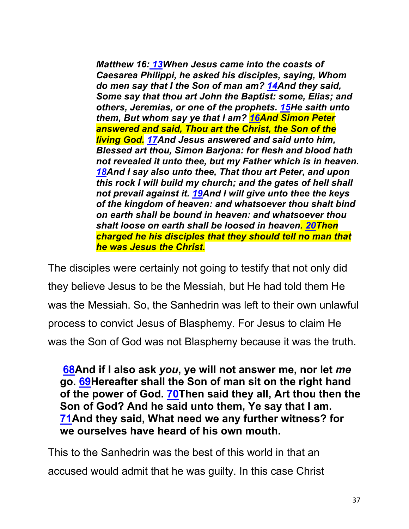*Matthew 16: 13When Jesus came into the coasts of Caesarea Philippi, he asked his disciples, saying, Whom do men say that I the Son of man am? 14And they said, Some say that thou art John the Baptist: some, Elias; and others, Jeremias, or one of the prophets. 15He saith unto them, But whom say ye that I am? 16And Simon Peter answered and said, Thou art the Christ, the Son of the living God. 17And Jesus answered and said unto him, Blessed art thou, Simon Barjona: for flesh and blood hath not revealed it unto thee, but my Father which is in heaven. 18And I say also unto thee, That thou art Peter, and upon this rock I will build my church; and the gates of hell shall not prevail against it. 19And I will give unto thee the keys of the kingdom of heaven: and whatsoever thou shalt bind on earth shall be bound in heaven: and whatsoever thou shalt loose on earth shall be loosed in heaven. 20Then charged he his disciples that they should tell no man that he was Jesus the Christ.*

The disciples were certainly not going to testify that not only did they believe Jesus to be the Messiah, but He had told them He was the Messiah. So, the Sanhedrin was left to their own unlawful process to convict Jesus of Blasphemy. For Jesus to claim He was the Son of God was not Blasphemy because it was the truth.

**68And if I also ask** *you***, ye will not answer me, nor let** *me* **go. 69Hereafter shall the Son of man sit on the right hand of the power of God. 70Then said they all, Art thou then the Son of God? And he said unto them, Ye say that I am. 71And they said, What need we any further witness? for we ourselves have heard of his own mouth.**

This to the Sanhedrin was the best of this world in that an accused would admit that he was guilty. In this case Christ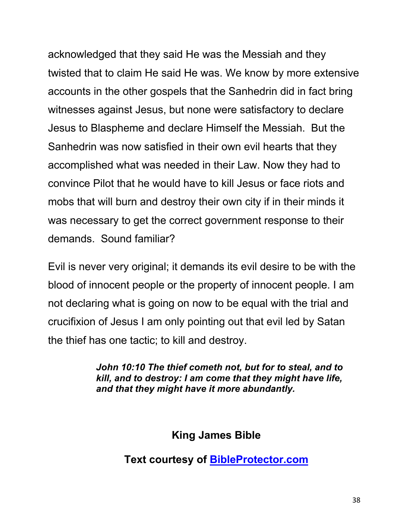acknowledged that they said He was the Messiah and they twisted that to claim He said He was. We know by more extensive accounts in the other gospels that the Sanhedrin did in fact bring witnesses against Jesus, but none were satisfactory to declare Jesus to Blaspheme and declare Himself the Messiah. But the Sanhedrin was now satisfied in their own evil hearts that they accomplished what was needed in their Law. Now they had to convince Pilot that he would have to kill Jesus or face riots and mobs that will burn and destroy their own city if in their minds it was necessary to get the correct government response to their demands. Sound familiar?

Evil is never very original; it demands its evil desire to be with the blood of innocent people or the property of innocent people. I am not declaring what is going on now to be equal with the trial and crucifixion of Jesus I am only pointing out that evil led by Satan the thief has one tactic; to kill and destroy.

> *John 10:10 The thief cometh not, but for to steal, and to kill, and to destroy: I am come that they might have life, and that they might have it more abundantly.*

> > **King James Bible**

**Text courtesy of BibleProtector.com**